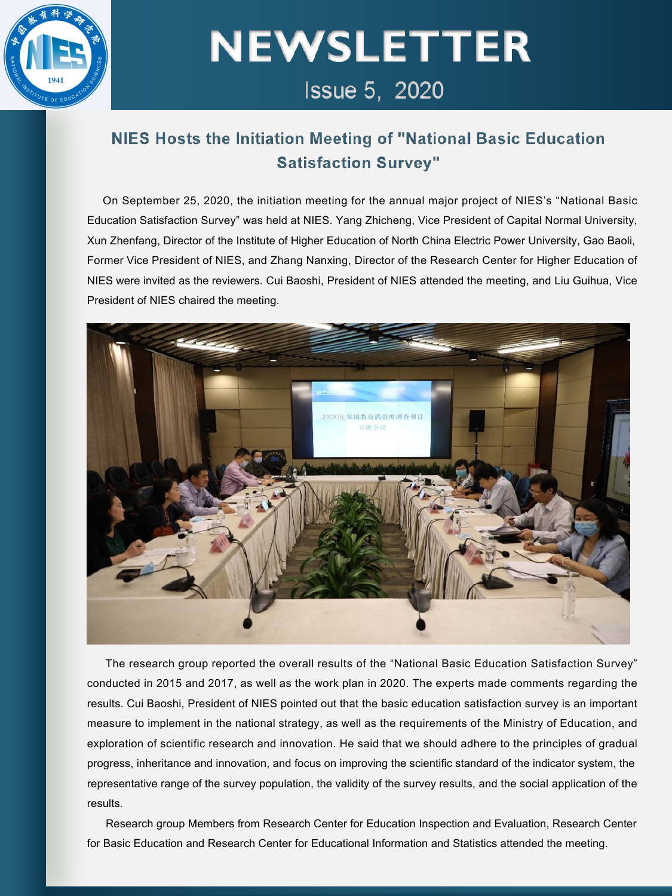

# **NEWSLETTER** Issue 5, 2020

### NIES Hosts the Initiation Meeting of "National Basic Education **Satisfaction Survey"**

On September 25, 2020, the initiation meeting for the annual major project of NIES's "National Basic Education Satisfaction Survey" was held at NIES. Yang Zhicheng, Vice President of Capital Normal University, Xun Zhenfang, Director of the Institute of Higher Education of North China Electric Power University, Gao Baoli, Former Vice President of NIES, and Zhang Nanxing, Director of the Research Center for Higher Education of NIES were invited as the reviewers. Cui Baoshi, President of NIES attended the meeting, and Liu Guihua, Vice President of NIES chaired the meeting.



The research group reported the overall results of the "National Basic Education Satisfaction Survey" conducted in 2015 and 2017, as well as the work plan in 2020. The experts made comments regarding the results. Cui Baoshi, President of NIES pointed out that the basic education satisfaction survey is an important measure to implement in the national strategy, as well as the requirements of the Ministry of Education, and exploration of scientific research and innovation. He said that we should adhere to the principles of gradual progress, inheritance and innovation, and focus on improving the scientific standard of the indicator system, the representative range of the survey population, the validity of the survey results, and the social application of the results.

Research group Members from Research Center for Education Inspection and Evaluation, Research Center for Basic Education and Research Center for Educational Information and Statistics attended the meeting.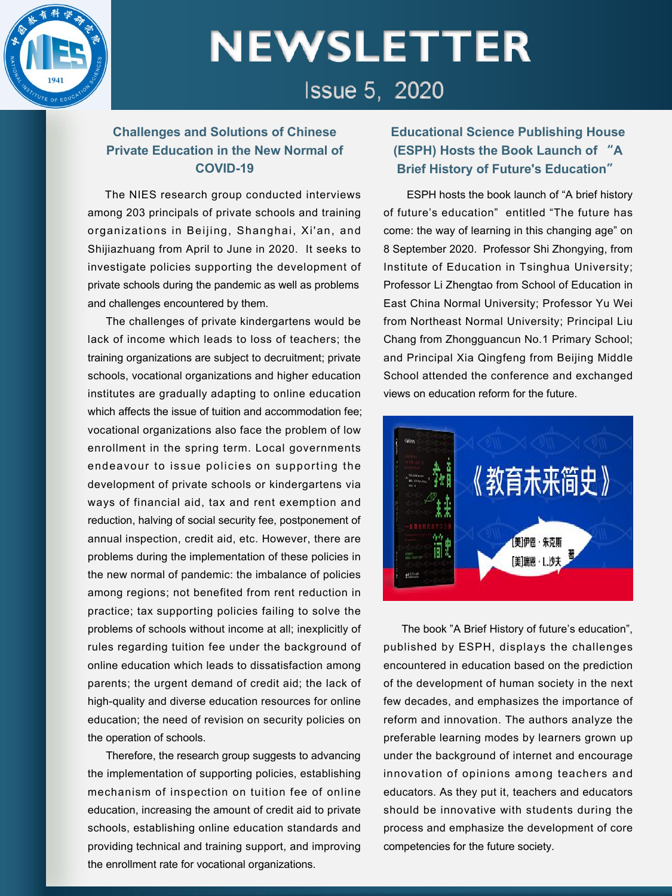

### **NEWSLETTER Issue 5. 2020**

#### **Challenges and Solutions of Chinese Private Education in the New Normal of COVID-19**

The NIES research group conducted interviews among 203 principals of private schools and training organizations in Beijing, Shanghai, Xi'an, and Shijiazhuang from April to June in 2020. It seeks to investigate policies supporting the development of private schools during the pandemic as well as problems and challenges encountered by them.

The challenges of private kindergartens would be lack of income which leads to loss of teachers; the training organizations are subject to decruitment; private schools, vocational organizations and higher education institutes are gradually adapting to online education which affects the issue of tuition and accommodation fee: vocational organizations also face the problem of low enrollment in the spring term. Local governments endeavour to issue policies on supporting the **the conduct of private schools or kindergartens via** development of private schools or kindergartens via ways of financial aid, tax and rent exemption and reduction, halving of social security fee, postponement of annual inspection, credit aid, etc. However, there are problems during the implementation of these policies in the new normal of pandemic: the imbalance of policies among regions; not benefited from rent reduction in practice; tax supporting policies failing to solve the problems of schools without income at all; inexplicitly of rules regarding tuition fee under the background of online education which leads to dissatisfaction among parents; the urgent demand of credit aid; the lack of high-quality and diverse education resources for online education; the need of revision on security policies on the operation of schools.

Therefore, the research group suggests to advancing the implementation of supporting policies, establishing mechanism of inspection on tuition fee of online education, increasing the amount of credit aid to private schools, establishing online education standards and providing technical and training support, and improving the enrollment rate for vocational organizations.

#### **Educational Science Publishing House (ESPH) Hosts the Book Launch of "A Brief History of Future's Education"**

ESPH hosts the book launch of "A brief history of future's education" entitled "The future has come: the way of learning in this changing age" on 8 September 2020. Professor Shi Zhongying, from Institute of Education in Tsinghua University; Professor Li Zhengtao from School of Education in East China Normal University; Professor Yu Wei from Northeast Normal University; Principal Liu Chang from Zhongguancun No.1 Primary School; and Principal Xia Qingfeng from Beijing Middle School attended the conference and exchanged views on education reform for the future.



The book "A Brief History of future's education", published by ESPH, displays the challenges encountered in education based on the prediction of the development of human society in the next few decades, and emphasizes the importance of reform and innovation. The authors analyze the preferable learning modes by learners grown up under the background of internet and encourage innovation of opinions among teachers and educators. As they put it, teachers and educators should be innovative with students during the process and emphasize the development of core competencies for the future society.